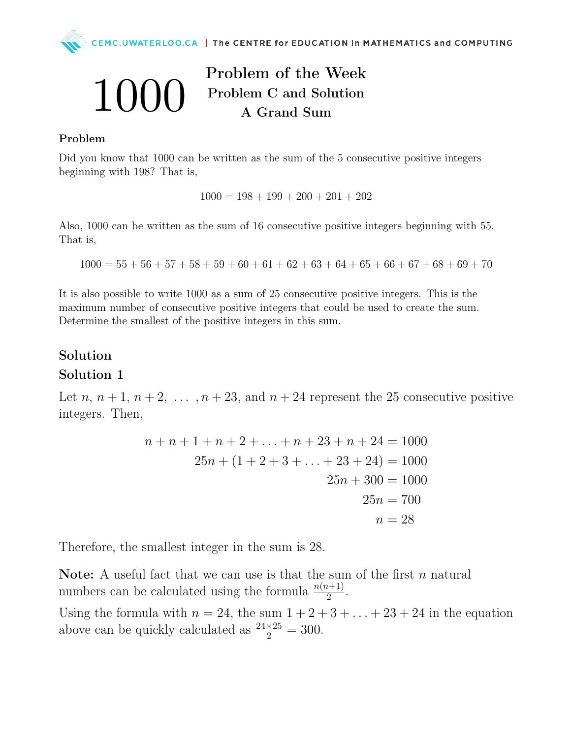

# Problem of the Week Problem C and Solution A Grand Sum

#### Problem

 $( )( )( )$ 

Did you know that 1000 can be written as the sum of the 5 consecutive positive integers beginning with 198? That is,

 $1000 = 198 + 199 + 200 + 201 + 202$ 

Also, 1000 can be written as the sum of 16 consecutive positive integers beginning with 55. That is,

 $1000 = 55 + 56 + 57 + 58 + 59 + 60 + 61 + 62 + 63 + 64 + 65 + 66 + 67 + 68 + 69 + 70$ 

It is also possible to write 1000 as a sum of 25 consecutive positive integers. This is the maximum number of consecutive positive integers that could be used to create the sum. Determine the smallest of the positive integers in this sum.

### Solution

#### Solution 1

Let n,  $n + 1$ ,  $n + 2$ , ...,  $n + 23$ , and  $n + 24$  represent the 25 consecutive positive integers. Then,

$$
n + n + 1 + n + 2 + \ldots + n + 23 + n + 24 = 1000
$$
  

$$
25n + (1 + 2 + 3 + \ldots + 23 + 24) = 1000
$$
  

$$
25n + 300 = 1000
$$
  

$$
25n = 700
$$
  

$$
n = 28
$$

Therefore, the smallest integer in the sum is 28.

Note: A useful fact that we can use is that the sum of the first  $n$  natural numbers can be calculated using the formula  $\frac{n(n+1)}{2}$ .

Using the formula with  $n = 24$ , the sum  $1 + 2 + 3 + \ldots + 23 + 24$  in the equation above can be quickly calculated as  $\frac{24\times25}{2} = 300$ .